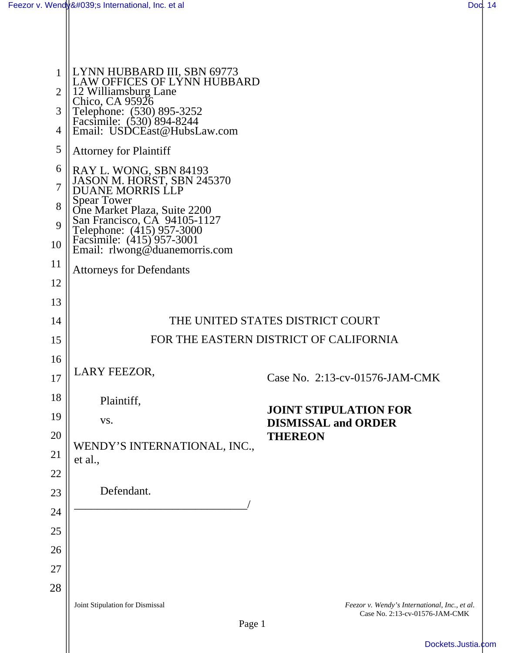| 1<br>$\overline{2}$ | LYNN HUBBARD III, SBN 69773<br>LAW OFFICES OF LYNN HUBBARD                                                                                                                                                                                         |                                                                                 |  |
|---------------------|----------------------------------------------------------------------------------------------------------------------------------------------------------------------------------------------------------------------------------------------------|---------------------------------------------------------------------------------|--|
| 3                   | 12 Williamsburg Lane<br>Chico, CA 95926<br>Telephone: (530) 895-3252<br>Facsimile: (530) 894-8244<br>Email: USDCEast@HubsLaw.com                                                                                                                   |                                                                                 |  |
| 4                   |                                                                                                                                                                                                                                                    |                                                                                 |  |
| 5                   | <b>Attorney for Plaintiff</b>                                                                                                                                                                                                                      |                                                                                 |  |
| 6                   | RAY L. WONG, SBN 84193<br>JASON M. HORST, SBN 245370<br>DUANE MORRIS LLP<br>Spear Tower<br>One Market Plaza, Suite 2200<br>San Francisco, CA 94105-1127<br>Telephone: (415) 957-3000<br>Facsimile: (415) 957-3001<br>Email: rlwong@duanemorris.com |                                                                                 |  |
| $\overline{7}$      |                                                                                                                                                                                                                                                    |                                                                                 |  |
| 8<br>9              |                                                                                                                                                                                                                                                    |                                                                                 |  |
| 10                  |                                                                                                                                                                                                                                                    |                                                                                 |  |
| 11                  | <b>Attorneys for Defendants</b>                                                                                                                                                                                                                    |                                                                                 |  |
| 12                  |                                                                                                                                                                                                                                                    |                                                                                 |  |
| 13                  |                                                                                                                                                                                                                                                    |                                                                                 |  |
| 14                  | THE UNITED STATES DISTRICT COURT                                                                                                                                                                                                                   |                                                                                 |  |
| 15                  | FOR THE EASTERN DISTRICT OF CALIFORNIA                                                                                                                                                                                                             |                                                                                 |  |
| 16                  | LARY FEEZOR,                                                                                                                                                                                                                                       |                                                                                 |  |
| 17                  |                                                                                                                                                                                                                                                    | Case No. 2:13-cv-01576-JAM-CMK                                                  |  |
| 18                  | Plaintiff,                                                                                                                                                                                                                                         | <b>JOINT STIPULATION FOR</b><br><b>DISMISSAL and ORDER</b>                      |  |
| 19                  | VS.                                                                                                                                                                                                                                                |                                                                                 |  |
| 20                  | WENDY'S INTERNATIONAL, INC.,                                                                                                                                                                                                                       | <b>THEREON</b>                                                                  |  |
| 21                  | et al.,                                                                                                                                                                                                                                            |                                                                                 |  |
| 22<br>23            | Defendant.                                                                                                                                                                                                                                         |                                                                                 |  |
| 24                  |                                                                                                                                                                                                                                                    |                                                                                 |  |
| 25                  |                                                                                                                                                                                                                                                    |                                                                                 |  |
| 26                  |                                                                                                                                                                                                                                                    |                                                                                 |  |
| 27                  |                                                                                                                                                                                                                                                    |                                                                                 |  |
| 28                  |                                                                                                                                                                                                                                                    |                                                                                 |  |
|                     | Joint Stipulation for Dismissal                                                                                                                                                                                                                    | Feezor v. Wendy's International, Inc., et al.<br>Case No. 2:13-cv-01576-JAM-CMK |  |
|                     | Page 1                                                                                                                                                                                                                                             |                                                                                 |  |
|                     |                                                                                                                                                                                                                                                    |                                                                                 |  |